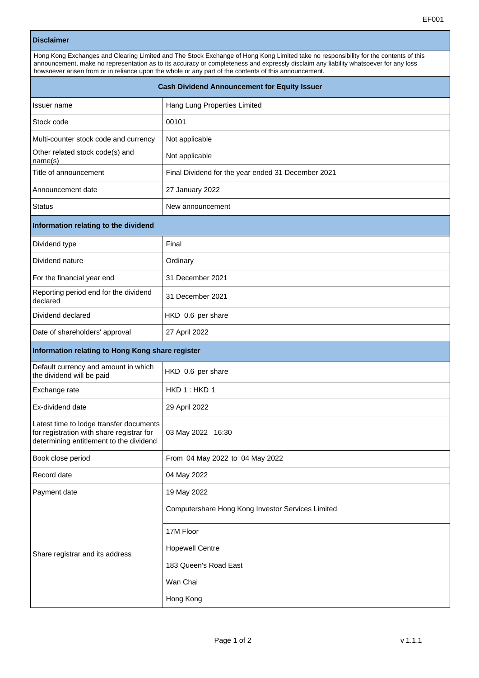|                                                                                                                                 | EF001                                                                                                                                                                                                                                                                                                                                                                                 |
|---------------------------------------------------------------------------------------------------------------------------------|---------------------------------------------------------------------------------------------------------------------------------------------------------------------------------------------------------------------------------------------------------------------------------------------------------------------------------------------------------------------------------------|
| <b>Disclaimer</b>                                                                                                               |                                                                                                                                                                                                                                                                                                                                                                                       |
|                                                                                                                                 | Hong Kong Exchanges and Clearing Limited and The Stock Exchange of Hong Kong Limited take no responsibility for the contents of this<br>announcement, make no representation as to its accuracy or completeness and expressly disclaim any liability whatsoever for any loss<br>howsoever arisen from or in reliance upon the whole or any part of the contents of this announcement. |
| <b>Cash Dividend Announcement for Equity Issuer</b>                                                                             |                                                                                                                                                                                                                                                                                                                                                                                       |
| Issuer name                                                                                                                     | Hang Lung Properties Limited                                                                                                                                                                                                                                                                                                                                                          |
| Stock code                                                                                                                      | 00101                                                                                                                                                                                                                                                                                                                                                                                 |
| Multi-counter stock code and currency                                                                                           | Not applicable                                                                                                                                                                                                                                                                                                                                                                        |
| Other related stock code(s) and<br>name(s)                                                                                      | Not applicable                                                                                                                                                                                                                                                                                                                                                                        |
| Title of announcement                                                                                                           | Final Dividend for the year ended 31 December 2021                                                                                                                                                                                                                                                                                                                                    |
| Announcement date                                                                                                               | 27 January 2022                                                                                                                                                                                                                                                                                                                                                                       |
| Status                                                                                                                          | New announcement                                                                                                                                                                                                                                                                                                                                                                      |
| Information relating to the dividend                                                                                            |                                                                                                                                                                                                                                                                                                                                                                                       |
| Dividend type                                                                                                                   | Final                                                                                                                                                                                                                                                                                                                                                                                 |
| Dividend nature                                                                                                                 | Ordinary                                                                                                                                                                                                                                                                                                                                                                              |
| For the financial year end                                                                                                      | 31 December 2021                                                                                                                                                                                                                                                                                                                                                                      |
| Reporting period end for the dividend<br>declared                                                                               | 31 December 2021                                                                                                                                                                                                                                                                                                                                                                      |
| Dividend declared                                                                                                               | HKD 0.6 per share                                                                                                                                                                                                                                                                                                                                                                     |
| Date of shareholders' approval                                                                                                  | 27 April 2022                                                                                                                                                                                                                                                                                                                                                                         |
| Information relating to Hong Kong share register                                                                                |                                                                                                                                                                                                                                                                                                                                                                                       |
| Default currency and amount in which<br>the dividend will be paid                                                               | HKD 0.6 per share                                                                                                                                                                                                                                                                                                                                                                     |
| Exchange rate                                                                                                                   | HKD 1: HKD 1                                                                                                                                                                                                                                                                                                                                                                          |
| Ex-dividend date                                                                                                                | 29 April 2022                                                                                                                                                                                                                                                                                                                                                                         |
| Latest time to lodge transfer documents<br>for registration with share registrar for<br>determining entitlement to the dividend | 03 May 2022 16:30                                                                                                                                                                                                                                                                                                                                                                     |
| Book close period                                                                                                               | From 04 May 2022 to 04 May 2022                                                                                                                                                                                                                                                                                                                                                       |
| Record date                                                                                                                     | 04 May 2022                                                                                                                                                                                                                                                                                                                                                                           |
| Payment date                                                                                                                    | 19 May 2022                                                                                                                                                                                                                                                                                                                                                                           |
|                                                                                                                                 | Computershare Hong Kong Investor Services Limited                                                                                                                                                                                                                                                                                                                                     |
|                                                                                                                                 | 17M Floor                                                                                                                                                                                                                                                                                                                                                                             |
|                                                                                                                                 | <b>Hopewell Centre</b>                                                                                                                                                                                                                                                                                                                                                                |

183 Queen's Road East

Wan Chai

Hong Kong

Share registrar and its address